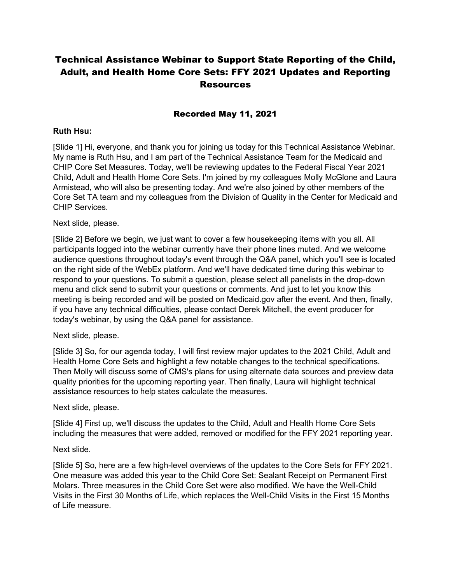# Technical Assistance Webinar to Support State Reporting of the Child, Adult, and Health Home Core Sets: FFY 2021 Updates and Reporting Resources

#### Recorded May 11, 2021

#### **Ruth Hsu:**

[Slide 1] Hi, everyone, and thank you for joining us today for this Technical Assistance Webinar. My name is Ruth Hsu, and I am part of the Technical Assistance Team for the Medicaid and CHIP Core Set Measures. Today, we'll be reviewing updates to the Federal Fiscal Year 2021 Child, Adult and Health Home Core Sets. I'm joined by my colleagues Molly McGlone and Laura Armistead, who will also be presenting today. And we're also joined by other members of the Core Set TA team and my colleagues from the Division of Quality in the Center for Medicaid and CHIP Services.

#### Next slide, please.

[Slide 2] Before we begin, we just want to cover a few housekeeping items with you all. All participants logged into the webinar currently have their phone lines muted. And we welcome audience questions throughout today's event through the Q&A panel, which you'll see is located on the right side of the WebEx platform. And we'll have dedicated time during this webinar to respond to your questions. To submit a question, please select all panelists in the drop-down menu and click send to submit your questions or comments. And just to let you know this meeting is being recorded and will be posted on Medicaid.gov after the event. And then, finally, if you have any technical difficulties, please contact Derek Mitchell, the event producer for today's webinar, by using the Q&A panel for assistance.

#### Next slide, please.

[Slide 3] So, for our agenda today, I will first review major updates to the 2021 Child, Adult and Health Home Core Sets and highlight a few notable changes to the technical specifications. Then Molly will discuss some of CMS's plans for using alternate data sources and preview data quality priorities for the upcoming reporting year. Then finally, Laura will highlight technical assistance resources to help states calculate the measures.

#### Next slide, please.

[Slide 4] First up, we'll discuss the updates to the Child, Adult and Health Home Core Sets including the measures that were added, removed or modified for the FFY 2021 reporting year.

#### Next slide.

[Slide 5] So, here are a few high-level overviews of the updates to the Core Sets for FFY 2021. One measure was added this year to the Child Core Set: Sealant Receipt on Permanent First Molars. Three measures in the Child Core Set were also modified. We have the Well-Child Visits in the First 30 Months of Life, which replaces the Well-Child Visits in the First 15 Months of Life measure.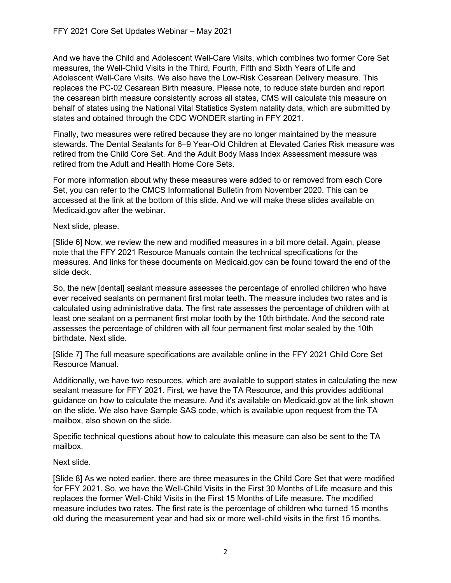And we have the Child and Adolescent Well-Care Visits, which combines two former Core Set measures, the Well-Child Visits in the Third, Fourth, Fifth and Sixth Years of Life and Adolescent Well-Care Visits. We also have the Low-Risk Cesarean Delivery measure. This replaces the PC-02 Cesarean Birth measure. Please note, to reduce state burden and report the cesarean birth measure consistently across all states, CMS will calculate this measure on behalf of states using the National Vital Statistics System natality data, which are submitted by states and obtained through the CDC WONDER starting in FFY 2021.

Finally, two measures were retired because they are no longer maintained by the measure stewards. The Dental Sealants for 6–9 Year-Old Children at Elevated Caries Risk measure was retired from the Child Core Set. And the Adult Body Mass Index Assessment measure was retired from the Adult and Health Home Core Sets.

For more information about why these measures were added to or removed from each Core Set, you can refer to the CMCS Informational Bulletin from November 2020. This can be accessed at the link at the bottom of this slide. And we will make these slides available on Medicaid.gov after the webinar.

Next slide, please.

[Slide 6] Now, we review the new and modified measures in a bit more detail. Again, please note that the FFY 2021 Resource Manuals contain the technical specifications for the measures. And links for these documents on Medicaid.gov can be found toward the end of the slide deck.

So, the new [dental] sealant measure assesses the percentage of enrolled children who have ever received sealants on permanent first molar teeth. The measure includes two rates and is calculated using administrative data. The first rate assesses the percentage of children with at least one sealant on a permanent first molar tooth by the 10th birthdate. And the second rate assesses the percentage of children with all four permanent first molar sealed by the 10th birthdate. Next slide.

[Slide 7] The full measure specifications are available online in the FFY 2021 Child Core Set Resource Manual.

Additionally, we have two resources, which are available to support states in calculating the new sealant measure for FFY 2021. First, we have the TA Resource, and this provides additional guidance on how to calculate the measure. And it's available on Medicaid.gov at the link shown on the slide. We also have Sample SAS code, which is available upon request from the TA mailbox, also shown on the slide.

Specific technical questions about how to calculate this measure can also be sent to the TA mailbox.

Next slide.

[Slide 8] As we noted earlier, there are three measures in the Child Core Set that were modified for FFY 2021. So, we have the Well-Child Visits in the First 30 Months of Life measure and this replaces the former Well-Child Visits in the First 15 Months of Life measure. The modified measure includes two rates. The first rate is the percentage of children who turned 15 months old during the measurement year and had six or more well-child visits in the first 15 months.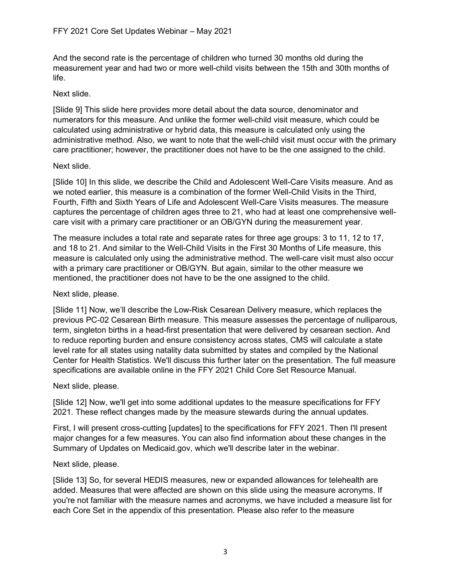And the second rate is the percentage of children who turned 30 months old during the measurement year and had two or more well-child visits between the 15th and 30th months of life.

#### Next slide.

[Slide 9] This slide here provides more detail about the data source, denominator and numerators for this measure. And unlike the former well-child visit measure, which could be calculated using administrative or hybrid data, this measure is calculated only using the administrative method. Also, we want to note that the well-child visit must occur with the primary care practitioner; however, the practitioner does not have to be the one assigned to the child.

#### Next slide.

[Slide 10] In this slide, we describe the Child and Adolescent Well-Care Visits measure. And as we noted earlier, this measure is a combination of the former Well-Child Visits in the Third, Fourth, Fifth and Sixth Years of Life and Adolescent Well-Care Visits measures. The measure captures the percentage of children ages three to 21, who had at least one comprehensive wellcare visit with a primary care practitioner or an OB/GYN during the measurement year.

The measure includes a total rate and separate rates for three age groups: 3 to 11, 12 to 17, and 18 to 21. And similar to the Well-Child Visits in the First 30 Months of Life measure, this measure is calculated only using the administrative method. The well-care visit must also occur with a primary care practitioner or OB/GYN. But again, similar to the other measure we mentioned, the practitioner does not have to be the one assigned to the child.

### Next slide, please.

[Slide 11] Now, we'll describe the Low-Risk Cesarean Delivery measure, which replaces the previous PC-02 Cesarean Birth measure. This measure assesses the percentage of nulliparous, term, singleton births in a head-first presentation that were delivered by cesarean section. And to reduce reporting burden and ensure consistency across states, CMS will calculate a state level rate for all states using natality data submitted by states and compiled by the National Center for Health Statistics. We'll discuss this further later on the presentation. The full measure specifications are available online in the FFY 2021 Child Core Set Resource Manual.

#### Next slide, please.

[Slide 12] Now, we'll get into some additional updates to the measure specifications for FFY 2021. These reflect changes made by the measure stewards during the annual updates.

First, I will present cross-cutting [updates] to the specifications for FFY 2021. Then I'll present major changes for a few measures. You can also find information about these changes in the Summary of Updates on Medicaid.gov, which we'll describe later in the webinar.

### Next slide, please.

[Slide 13] So, for several HEDIS measures, new or expanded allowances for telehealth are added. Measures that were affected are shown on this slide using the measure acronyms. If you're not familiar with the measure names and acronyms, we have included a measure list for each Core Set in the appendix of this presentation. Please also refer to the measure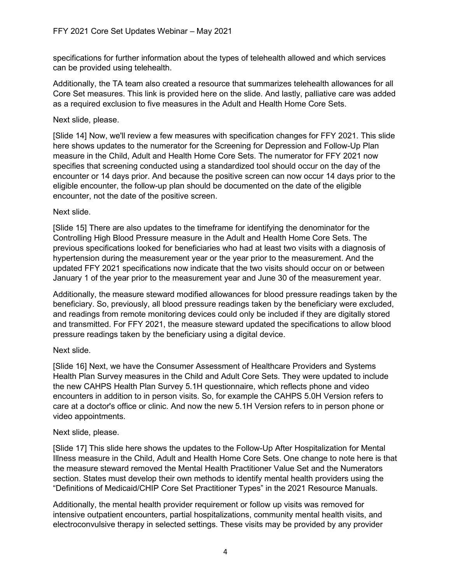specifications for further information about the types of telehealth allowed and which services can be provided using telehealth.

Additionally, the TA team also created a resource that summarizes telehealth allowances for all Core Set measures. This link is provided here on the slide. And lastly, palliative care was added as a required exclusion to five measures in the Adult and Health Home Core Sets.

### Next slide, please.

[Slide 14] Now, we'll review a few measures with specification changes for FFY 2021. This slide here shows updates to the numerator for the Screening for Depression and Follow-Up Plan measure in the Child, Adult and Health Home Core Sets. The numerator for FFY 2021 now specifies that screening conducted using a standardized tool should occur on the day of the encounter or 14 days prior. And because the positive screen can now occur 14 days prior to the eligible encounter, the follow-up plan should be documented on the date of the eligible encounter, not the date of the positive screen.

# Next slide.

[Slide 15] There are also updates to the timeframe for identifying the denominator for the Controlling High Blood Pressure measure in the Adult and Health Home Core Sets. The previous specifications looked for beneficiaries who had at least two visits with a diagnosis of hypertension during the measurement year or the year prior to the measurement. And the updated FFY 2021 specifications now indicate that the two visits should occur on or between January 1 of the year prior to the measurement year and June 30 of the measurement year.

Additionally, the measure steward modified allowances for blood pressure readings taken by the beneficiary. So, previously, all blood pressure readings taken by the beneficiary were excluded, and readings from remote monitoring devices could only be included if they are digitally stored and transmitted. For FFY 2021, the measure steward updated the specifications to allow blood pressure readings taken by the beneficiary using a digital device.

# Next slide.

[Slide 16] Next, we have the Consumer Assessment of Healthcare Providers and Systems Health Plan Survey measures in the Child and Adult Core Sets. They were updated to include the new CAHPS Health Plan Survey 5.1H questionnaire, which reflects phone and video encounters in addition to in person visits. So, for example the CAHPS 5.0H Version refers to care at a doctor's office or clinic. And now the new 5.1H Version refers to in person phone or video appointments.

### Next slide, please.

[Slide 17] This slide here shows the updates to the Follow-Up After Hospitalization for Mental Illness measure in the Child, Adult and Health Home Core Sets. One change to note here is that the measure steward removed the Mental Health Practitioner Value Set and the Numerators section. States must develop their own methods to identify mental health providers using the "Definitions of Medicaid/CHIP Core Set Practitioner Types" in the 2021 Resource Manuals.

Additionally, the mental health provider requirement or follow up visits was removed for intensive outpatient encounters, partial hospitalizations, community mental health visits, and electroconvulsive therapy in selected settings. These visits may be provided by any provider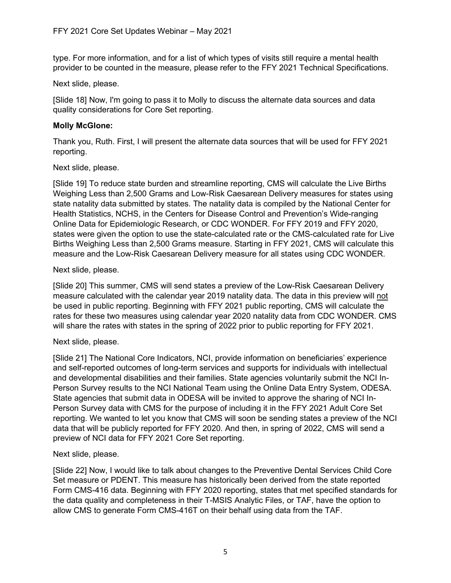type. For more information, and for a list of which types of visits still require a mental health provider to be counted in the measure, please refer to the FFY 2021 Technical Specifications.

### Next slide, please.

[Slide 18] Now, I'm going to pass it to Molly to discuss the alternate data sources and data quality considerations for Core Set reporting.

# **Molly McGlone:**

Thank you, Ruth. First, I will present the alternate data sources that will be used for FFY 2021 reporting.

# Next slide, please.

[Slide 19] To reduce state burden and streamline reporting, CMS will calculate the Live Births Weighing Less than 2,500 Grams and Low-Risk Caesarean Delivery measures for states using state natality data submitted by states. The natality data is compiled by the National Center for Health Statistics, NCHS, in the Centers for Disease Control and Prevention's Wide-ranging Online Data for Epidemiologic Research, or CDC WONDER. For FFY 2019 and FFY 2020, states were given the option to use the state-calculated rate or the CMS-calculated rate for Live Births Weighing Less than 2,500 Grams measure. Starting in FFY 2021, CMS will calculate this measure and the Low-Risk Caesarean Delivery measure for all states using CDC WONDER.

# Next slide, please.

[Slide 20] This summer, CMS will send states a preview of the Low-Risk Caesarean Delivery measure calculated with the calendar year 2019 natality data. The data in this preview will not be used in public reporting. Beginning with FFY 2021 public reporting, CMS will calculate the rates for these two measures using calendar year 2020 natality data from CDC WONDER. CMS will share the rates with states in the spring of 2022 prior to public reporting for FFY 2021.

### Next slide, please.

[Slide 21] The National Core Indicators, NCI, provide information on beneficiaries' experience and self-reported outcomes of long-term services and supports for individuals with intellectual and developmental disabilities and their families. State agencies voluntarily submit the NCI In-Person Survey results to the NCI National Team using the Online Data Entry System, ODESA. State agencies that submit data in ODESA will be invited to approve the sharing of NCI In-Person Survey data with CMS for the purpose of including it in the FFY 2021 Adult Core Set reporting. We wanted to let you know that CMS will soon be sending states a preview of the NCI data that will be publicly reported for FFY 2020. And then, in spring of 2022, CMS will send a preview of NCI data for FFY 2021 Core Set reporting.

### Next slide, please.

[Slide 22] Now, I would like to talk about changes to the Preventive Dental Services Child Core Set measure or PDENT. This measure has historically been derived from the state reported Form CMS-416 data. Beginning with FFY 2020 reporting, states that met specified standards for the data quality and completeness in their T-MSIS Analytic Files, or TAF, have the option to allow CMS to generate Form CMS-416T on their behalf using data from the TAF.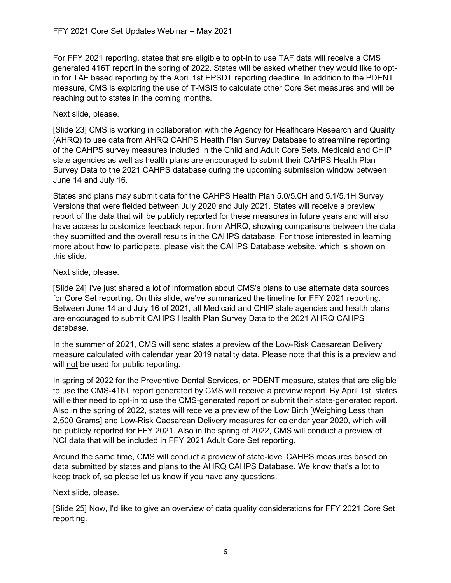For FFY 2021 reporting, states that are eligible to opt-in to use TAF data will receive a CMS generated 416T report in the spring of 2022. States will be asked whether they would like to optin for TAF based reporting by the April 1st EPSDT reporting deadline. In addition to the PDENT measure, CMS is exploring the use of T-MSIS to calculate other Core Set measures and will be reaching out to states in the coming months.

### Next slide, please.

[Slide 23] CMS is working in collaboration with the Agency for Healthcare Research and Quality (AHRQ) to use data from AHRQ CAHPS Health Plan Survey Database to streamline reporting of the CAHPS survey measures included in the Child and Adult Core Sets. Medicaid and CHIP state agencies as well as health plans are encouraged to submit their CAHPS Health Plan Survey Data to the 2021 CAHPS database during the upcoming submission window between June 14 and July 16.

States and plans may submit data for the CAHPS Health Plan 5.0/5.0H and 5.1/5.1H Survey Versions that were fielded between July 2020 and July 2021. States will receive a preview report of the data that will be publicly reported for these measures in future years and will also have access to customize feedback report from AHRQ, showing comparisons between the data they submitted and the overall results in the CAHPS database. For those interested in learning more about how to participate, please visit the CAHPS Database website, which is shown on this slide.

# Next slide, please.

[Slide 24] I've just shared a lot of information about CMS's plans to use alternate data sources for Core Set reporting. On this slide, we've summarized the timeline for FFY 2021 reporting. Between June 14 and July 16 of 2021, all Medicaid and CHIP state agencies and health plans are encouraged to submit CAHPS Health Plan Survey Data to the 2021 AHRQ CAHPS database.

In the summer of 2021, CMS will send states a preview of the Low-Risk Caesarean Delivery measure calculated with calendar year 2019 natality data. Please note that this is a preview and will not be used for public reporting.

In spring of 2022 for the Preventive Dental Services, or PDENT measure, states that are eligible to use the CMS-416T report generated by CMS will receive a preview report. By April 1st, states will either need to opt-in to use the CMS-generated report or submit their state-generated report. Also in the spring of 2022, states will receive a preview of the Low Birth [Weighing Less than 2,500 Grams] and Low-Risk Caesarean Delivery measures for calendar year 2020, which will be publicly reported for FFY 2021. Also in the spring of 2022, CMS will conduct a preview of NCI data that will be included in FFY 2021 Adult Core Set reporting.

Around the same time, CMS will conduct a preview of state-level CAHPS measures based on data submitted by states and plans to the AHRQ CAHPS Database. We know that's a lot to keep track of, so please let us know if you have any questions.

### Next slide, please.

[Slide 25] Now, I'd like to give an overview of data quality considerations for FFY 2021 Core Set reporting.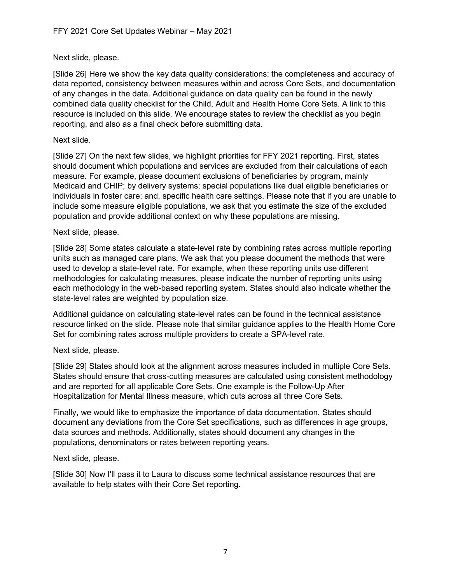### Next slide, please.

[Slide 26] Here we show the key data quality considerations: the completeness and accuracy of data reported, consistency between measures within and across Core Sets, and documentation of any changes in the data. Additional guidance on data quality can be found in the newly combined data quality checklist for the Child, Adult and Health Home Core Sets. A link to this resource is included on this slide. We encourage states to review the checklist as you begin reporting, and also as a final check before submitting data.

#### Next slide.

[Slide 27] On the next few slides, we highlight priorities for FFY 2021 reporting. First, states should document which populations and services are excluded from their calculations of each measure. For example, please document exclusions of beneficiaries by program, mainly Medicaid and CHIP; by delivery systems; special populations like dual eligible beneficiaries or individuals in foster care; and, specific health care settings. Please note that if you are unable to include some measure eligible populations, we ask that you estimate the size of the excluded population and provide additional context on why these populations are missing.

#### Next slide, please.

[Slide 28] Some states calculate a state-level rate by combining rates across multiple reporting units such as managed care plans. We ask that you please document the methods that were used to develop a state-level rate. For example, when these reporting units use different methodologies for calculating measures, please indicate the number of reporting units using each methodology in the web-based reporting system. States should also indicate whether the state-level rates are weighted by population size.

Additional guidance on calculating state-level rates can be found in the technical assistance resource linked on the slide. Please note that similar guidance applies to the Health Home Core Set for combining rates across multiple providers to create a SPA-level rate.

### Next slide, please.

[Slide 29] States should look at the alignment across measures included in multiple Core Sets. States should ensure that cross-cutting measures are calculated using consistent methodology and are reported for all applicable Core Sets. One example is the Follow-Up After Hospitalization for Mental Illness measure, which cuts across all three Core Sets.

Finally, we would like to emphasize the importance of data documentation. States should document any deviations from the Core Set specifications, such as differences in age groups, data sources and methods. Additionally, states should document any changes in the populations, denominators or rates between reporting years.

#### Next slide, please.

[Slide 30] Now I'll pass it to Laura to discuss some technical assistance resources that are available to help states with their Core Set reporting.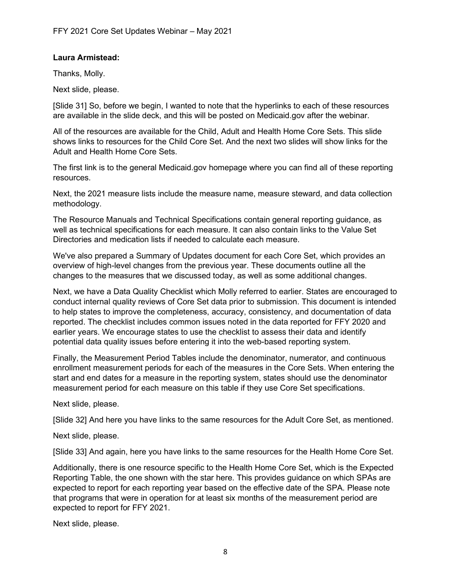### **Laura Armistead:**

Thanks, Molly.

Next slide, please.

[Slide 31] So, before we begin, I wanted to note that the hyperlinks to each of these resources are available in the slide deck, and this will be posted on Medicaid.gov after the webinar.

All of the resources are available for the Child, Adult and Health Home Core Sets. This slide shows links to resources for the Child Core Set. And the next two slides will show links for the Adult and Health Home Core Sets.

The first link is to the general Medicaid.gov homepage where you can find all of these reporting resources.

Next, the 2021 measure lists include the measure name, measure steward, and data collection methodology.

The Resource Manuals and Technical Specifications contain general reporting guidance, as well as technical specifications for each measure. It can also contain links to the Value Set Directories and medication lists if needed to calculate each measure.

We've also prepared a Summary of Updates document for each Core Set, which provides an overview of high-level changes from the previous year. These documents outline all the changes to the measures that we discussed today, as well as some additional changes.

Next, we have a Data Quality Checklist which Molly referred to earlier. States are encouraged to conduct internal quality reviews of Core Set data prior to submission. This document is intended to help states to improve the completeness, accuracy, consistency, and documentation of data reported. The checklist includes common issues noted in the data reported for FFY 2020 and earlier years. We encourage states to use the checklist to assess their data and identify potential data quality issues before entering it into the web-based reporting system.

Finally, the Measurement Period Tables include the denominator, numerator, and continuous enrollment measurement periods for each of the measures in the Core Sets. When entering the start and end dates for a measure in the reporting system, states should use the denominator measurement period for each measure on this table if they use Core Set specifications.

Next slide, please.

[Slide 32] And here you have links to the same resources for the Adult Core Set, as mentioned.

Next slide, please.

[Slide 33] And again, here you have links to the same resources for the Health Home Core Set.

Additionally, there is one resource specific to the Health Home Core Set, which is the Expected Reporting Table, the one shown with the star here. This provides guidance on which SPAs are expected to report for each reporting year based on the effective date of the SPA. Please note that programs that were in operation for at least six months of the measurement period are expected to report for FFY 2021.

Next slide, please.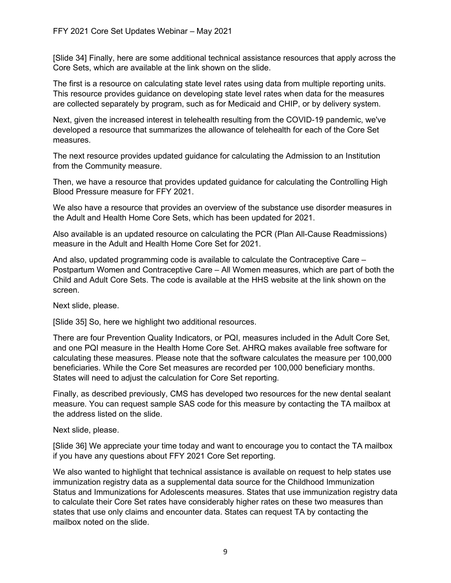[Slide 34] Finally, here are some additional technical assistance resources that apply across the Core Sets, which are available at the link shown on the slide.

The first is a resource on calculating state level rates using data from multiple reporting units. This resource provides guidance on developing state level rates when data for the measures are collected separately by program, such as for Medicaid and CHIP, or by delivery system.

Next, given the increased interest in telehealth resulting from the COVID-19 pandemic, we've developed a resource that summarizes the allowance of telehealth for each of the Core Set measures.

The next resource provides updated guidance for calculating the Admission to an Institution from the Community measure.

Then, we have a resource that provides updated guidance for calculating the Controlling High Blood Pressure measure for FFY 2021.

We also have a resource that provides an overview of the substance use disorder measures in the Adult and Health Home Core Sets, which has been updated for 2021.

Also available is an updated resource on calculating the PCR (Plan All-Cause Readmissions) measure in the Adult and Health Home Core Set for 2021.

And also, updated programming code is available to calculate the Contraceptive Care – Postpartum Women and Contraceptive Care – All Women measures, which are part of both the Child and Adult Core Sets. The code is available at the HHS website at the link shown on the screen.

Next slide, please.

[Slide 35] So, here we highlight two additional resources.

There are four Prevention Quality Indicators, or PQI, measures included in the Adult Core Set, and one PQI measure in the Health Home Core Set. AHRQ makes available free software for calculating these measures. Please note that the software calculates the measure per 100,000 beneficiaries. While the Core Set measures are recorded per 100,000 beneficiary months. States will need to adjust the calculation for Core Set reporting.

Finally, as described previously, CMS has developed two resources for the new dental sealant measure. You can request sample SAS code for this measure by contacting the TA mailbox at the address listed on the slide.

Next slide, please.

[Slide 36] We appreciate your time today and want to encourage you to contact the TA mailbox if you have any questions about FFY 2021 Core Set reporting.

We also wanted to highlight that technical assistance is available on request to help states use immunization registry data as a supplemental data source for the Childhood Immunization Status and Immunizations for Adolescents measures. States that use immunization registry data to calculate their Core Set rates have considerably higher rates on these two measures than states that use only claims and encounter data. States can request TA by contacting the mailbox noted on the slide.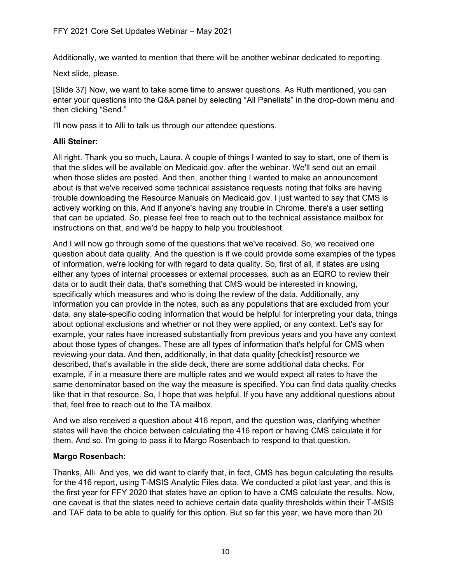Additionally, we wanted to mention that there will be another webinar dedicated to reporting.

Next slide, please.

[Slide 37] Now, we want to take some time to answer questions. As Ruth mentioned, you can enter your questions into the Q&A panel by selecting "All Panelists" in the drop-down menu and then clicking "Send."

I'll now pass it to Alli to talk us through our attendee questions.

# **Alli Steiner:**

All right. Thank you so much, Laura. A couple of things I wanted to say to start, one of them is that the slides will be available on Medicaid.gov. after the webinar. We'll send out an email when those slides are posted. And then, another thing I wanted to make an announcement about is that we've received some technical assistance requests noting that folks are having trouble downloading the Resource Manuals on Medicaid.gov. I just wanted to say that CMS is actively working on this. And if anyone's having any trouble in Chrome, there's a user setting that can be updated. So, please feel free to reach out to the technical assistance mailbox for instructions on that, and we'd be happy to help you troubleshoot.

And I will now go through some of the questions that we've received. So, we received one question about data quality. And the question is if we could provide some examples of the types of information, we're looking for with regard to data quality. So, first of all, if states are using either any types of internal processes or external processes, such as an EQRO to review their data or to audit their data, that's something that CMS would be interested in knowing, specifically which measures and who is doing the review of the data. Additionally, any information you can provide in the notes, such as any populations that are excluded from your data, any state-specific coding information that would be helpful for interpreting your data, things about optional exclusions and whether or not they were applied, or any context. Let's say for example, your rates have increased substantially from previous years and you have any context about those types of changes. These are all types of information that's helpful for CMS when reviewing your data. And then, additionally, in that data quality [checklist] resource we described, that's available in the slide deck, there are some additional data checks. For example, if in a measure there are multiple rates and we would expect all rates to have the same denominator based on the way the measure is specified. You can find data quality checks like that in that resource. So, I hope that was helpful. If you have any additional questions about that, feel free to reach out to the TA mailbox.

And we also received a question about 416 report, and the question was, clarifying whether states will have the choice between calculating the 416 report or having CMS calculate it for them. And so, I'm going to pass it to Margo Rosenbach to respond to that question.

# **Margo Rosenbach:**

Thanks, Alli. And yes, we did want to clarify that, in fact, CMS has begun calculating the results for the 416 report, using T-MSIS Analytic Files data. We conducted a pilot last year, and this is the first year for FFY 2020 that states have an option to have a CMS calculate the results. Now, one caveat is that the states need to achieve certain data quality thresholds within their T-MSIS and TAF data to be able to qualify for this option. But so far this year, we have more than 20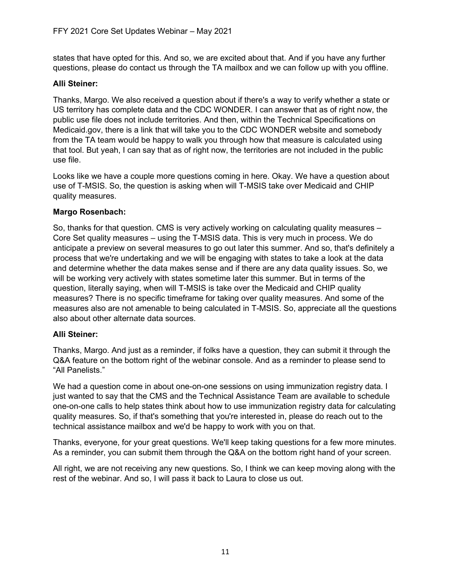states that have opted for this. And so, we are excited about that. And if you have any further questions, please do contact us through the TA mailbox and we can follow up with you offline.

# **Alli Steiner:**

Thanks, Margo. We also received a question about if there's a way to verify whether a state or US territory has complete data and the CDC WONDER. I can answer that as of right now, the public use file does not include territories. And then, within the Technical Specifications on Medicaid.gov, there is a link that will take you to the CDC WONDER website and somebody from the TA team would be happy to walk you through how that measure is calculated using that tool. But yeah, I can say that as of right now, the territories are not included in the public use file.

Looks like we have a couple more questions coming in here. Okay. We have a question about use of T-MSIS. So, the question is asking when will T-MSIS take over Medicaid and CHIP quality measures.

# **Margo Rosenbach:**

So, thanks for that question. CMS is very actively working on calculating quality measures – Core Set quality measures – using the T-MSIS data. This is very much in process. We do anticipate a preview on several measures to go out later this summer. And so, that's definitely a process that we're undertaking and we will be engaging with states to take a look at the data and determine whether the data makes sense and if there are any data quality issues. So, we will be working very actively with states sometime later this summer. But in terms of the question, literally saying, when will T-MSIS is take over the Medicaid and CHIP quality measures? There is no specific timeframe for taking over quality measures. And some of the measures also are not amenable to being calculated in T-MSIS. So, appreciate all the questions also about other alternate data sources.

### **Alli Steiner:**

Thanks, Margo. And just as a reminder, if folks have a question, they can submit it through the Q&A feature on the bottom right of the webinar console. And as a reminder to please send to "All Panelists."

We had a question come in about one-on-one sessions on using immunization registry data. I just wanted to say that the CMS and the Technical Assistance Team are available to schedule one-on-one calls to help states think about how to use immunization registry data for calculating quality measures. So, if that's something that you're interested in, please do reach out to the technical assistance mailbox and we'd be happy to work with you on that.

Thanks, everyone, for your great questions. We'll keep taking questions for a few more minutes. As a reminder, you can submit them through the Q&A on the bottom right hand of your screen.

All right, we are not receiving any new questions. So, I think we can keep moving along with the rest of the webinar. And so, I will pass it back to Laura to close us out.